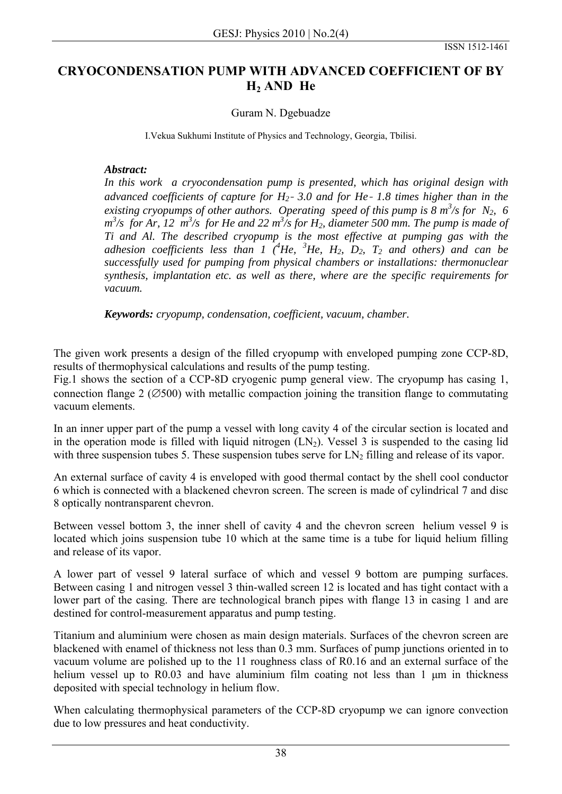## **CRYOCONDENSATION PUMP WITH ADVANCED COEFFICIENT OF BY H2 AND He**

## Guram N. Dgebuadze

I.Vekua Sukhumi Institute of Physics and Technology, Georgia, Tbilisi.

## *Abstract:*

*In this work a cryocondensation pump is presented, which has original design with advanced coefficients of capture for H2*- *3.0 and for He*- *1.8 times higher than in the existing cryopumps of other authors. Operating speed of this pump is*  $8 \frac{m^3}{s}$  *for N<sub>2</sub>, 6*  $m^3$ /s for Ar, 12  $m^3$ /s for He and 22  $m^3$ /s for H<sub>2</sub>, diameter 500 mm. The pump is made of *Ti and Al. The described cryopump is the most effective at pumping gas with the adhesion coefficients less than 1*  $(^{4}He, ^{3}He, H<sub>2</sub>, D<sub>2</sub>, T<sub>2</sub>$  *and others) and can be successfully used for pumping from physical chambers or installations: thermonuclear synthesis, implantation etc. as well as there, where are the specific requirements for vacuum.* 

*Keywords: cryopump, condensation, coefficient, vacuum, chamber.* 

The given work presents a design of the filled cryopump with enveloped pumping zone CCP-8D, results of thermophysical calculations and results of the pump testing.

Fig.1 shows the section of a CCP-8D cryogenic pump general view. The cryopump has casing 1, connection flange 2 ( $\emptyset$ 500) with metallic compaction joining the transition flange to commutating vacuum elements.

In an inner upper part of the pump a vessel with long cavity 4 of the circular section is located and in the operation mode is filled with liquid nitrogen  $(LN_2)$ . Vessel 3 is suspended to the casing lid with three suspension tubes 5. These suspension tubes serve for  $LN_2$  filling and release of its vapor.

An external surface of cavity 4 is enveloped with good thermal contact by the shell cool conductor 6 which is connected with a blackened chevron screen. The screen is made of cylindrical 7 and disc 8 optically nontransparent chevron.

Between vessel bottom 3, the inner shell of cavity 4 and the chevron screen helium vessel 9 is located which joins suspension tube 10 which at the same time is a tube for liquid helium filling and release of its vapor.

A lower part of vessel 9 lateral surface of which and vessel 9 bottom are pumping surfaces. Between casing 1 and nitrogen vessel 3 thin-walled screen 12 is located and has tight contact with a lower part of the casing. There are technological branch pipes with flange 13 in casing 1 and are destined for control-measurement apparatus and pump testing.

Titanium and aluminium were chosen as main design materials. Surfaces of the chevron screen are blackened with enamel of thickness not less than 0.3 mm. Surfaces of pump junctions oriented in to vacuum volume are polished up to the 11 roughness class of R0.16 and an external surface of the helium vessel up to R0.03 and have aluminium film coating not less than 1 μm in thickness deposited with special technology in helium flow.

When calculating thermophysical parameters of the CCP-8D cryopump we can ignore convection due to low pressures and heat conductivity.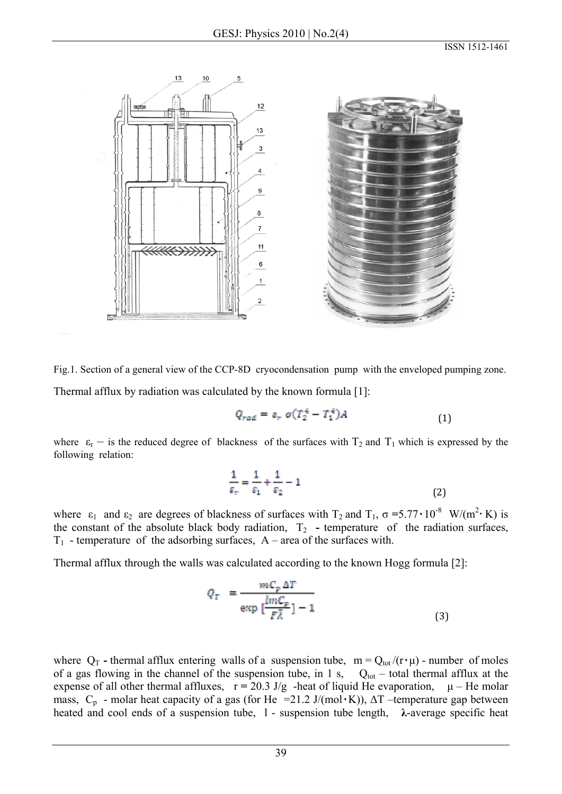

Fig.1. Section of a general view of the CCP-8D cryocondensation pump with the enveloped pumping zone.

Thermal afflux by radiation was calculated by the known formula [1]:

$$
Q_{rad} = s_r \sigma (T_2^4 - T_1^4) A \tag{1}
$$

where  $\varepsilon_r$  – is the reduced degree of blackness of the surfaces with  $T_2$  and  $T_1$  which is expressed by the following relation:

$$
\frac{1}{\varepsilon_r} = \frac{1}{\varepsilon_1} + \frac{1}{\varepsilon_2} - 1\tag{2}
$$

where  $\varepsilon_1$  and  $\varepsilon_2$  are degrees of blackness of surfaces with T<sub>2</sub> and T<sub>1</sub>,  $\sigma = 5.77 \cdot 10^{-8}$  W/(m<sup>2</sup>· K) is the constant of the absolute black body radiation,  $T_2$  - temperature of the radiation surfaces,  $T_1$  - temperature of the adsorbing surfaces,  $A$  – area of the surfaces with.

Thermal afflux through the walls was calculated according to the known Hogg formula [2]:

$$
Q_T = \frac{mC_p \Delta T}{\exp\left[\frac{lmC_p}{F\overline{\lambda}}\right] - 1}
$$
\n(3)

where  $Q_T$  - thermal afflux entering walls of a suspension tube,  $m = Q_{tot}/(r \cdot \mu)$  - number of moles of a gas flowing in the channel of the suspension tube, in 1 s,  $Q_{tot}$  – total thermal afflux at the expense of all other thermal affluxes, r **=** 20.3 J/g -heat of liquid He evaporation, μ – He molar mass,  $C_p$  - molar heat capacity of a gas (for He =21.2 J/(mol $\cdot$ K)),  $\Delta T$  –temperature gap between heated and cool ends of a suspension tube, l - suspension tube length, **λ**-average specific heat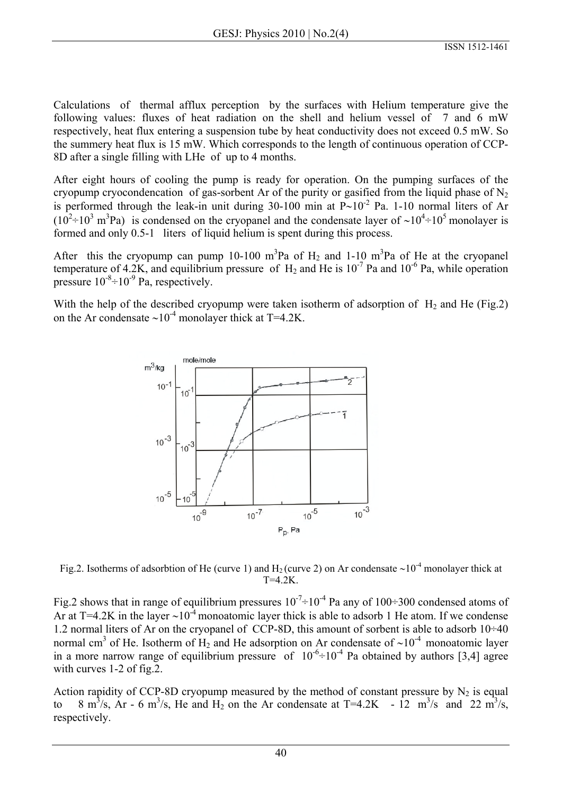Calculations of thermal afflux perception by the surfaces with Helium temperature give the following values: fluxes of heat radiation on the shell and helium vessel of 7 and 6 mW respectively, heat flux entering a suspension tube by heat conductivity does not exceed 0.5 mW. So the summery heat flux is 15 mW. Which corresponds to the length of continuous operation of CCP-8D after a single filling with LHe of up to 4 months.

After eight hours of cooling the pump is ready for operation. On the pumping surfaces of the cryopump cryocondencation of gas-sorbent Ar of the purity or gasified from the liquid phase of  $N_2$ is performed through the leak-in unit during 30-100 min at  $P~10^{-2}$  Pa. 1-10 normal liters of Ar  $(10^2 \div 10^3 \text{ m}^3 \text{Pa})$  is condensed on the cryopanel and the condensate layer of ~10<sup>4</sup>÷10<sup>5</sup> monolayer is formed and only 0.5-1 liters of liquid helium is spent during this process.

After this the cryopump can pump 10-100 m<sup>3</sup>Pa of H<sub>2</sub> and 1-10 m<sup>3</sup>Pa of He at the cryopanel temperature of 4.2K, and equilibrium pressure of  $H_2$  and He is  $10^{-7}$  Pa and  $10^{-6}$  Pa, while operation pressure  $10^{-8}$ ÷ $10^{-9}$  Pa, respectively.

With the help of the described cryopump were taken isotherm of adsorption of  $H_2$  and He (Fig.2) on the Ar condensate ~10<sup>-4</sup> monolayer thick at T=4.2K.



Fig.2. Isotherms of adsorbtion of He (curve 1) and H2 (curve 2) on Ar condensate ∼10-4 monolayer thick at T=4.2K.

Fig.2 shows that in range of equilibrium pressures  $10^{-7}$  +  $10^{-4}$  Pa any of  $100$  + 300 condensed atoms of Ar at T=4.2K in the layer ∼10-4 monoatomic layer thick is able to adsorb 1 He atom. If we condense 1.2 normal liters of Ar on the cryopanel of CCP-8D, this amount of sorbent is able to adsorb  $10\div 40$ normal cm<sup>3</sup> of He. Isotherm of H<sub>2</sub> and He adsorption on Ar condensate of ~10<sup>-4</sup> monoatomic layer in a more narrow range of equilibrium pressure of  $10^{-6}$  +  $10^{-4}$  Pa obtained by authors [3,4] agree with curves 1-2 of fig.2.

Action rapidity of CCP-8D cryopump measured by the method of constant pressure by  $N_2$  is equal to 8 m<sup>3</sup>/s, Ar - 6 m<sup>3</sup>/s, He and H<sub>2</sub> on the Ar condensate at T=4.2K - 12 m<sup>3</sup>/s and 22 m<sup>3</sup>/s, respectively.